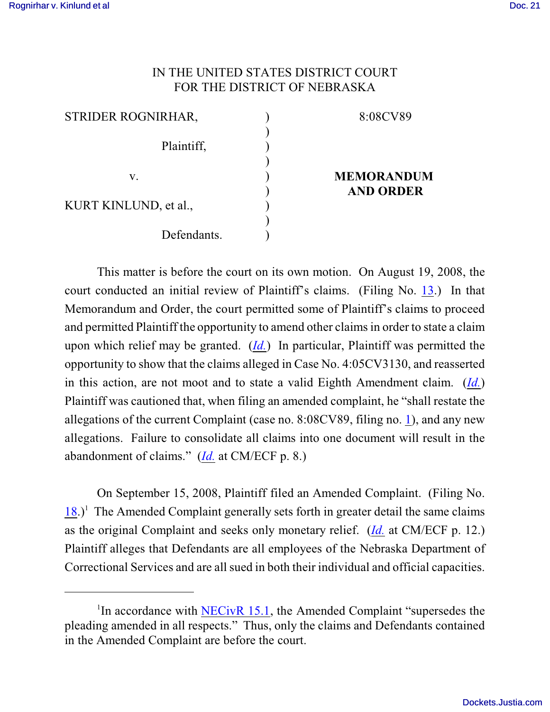## IN THE UNITED STATES DISTRICT COURT FOR THE DISTRICT OF NEBRASKA

) ) ) ) ) ) ) ) )

| STRIDER ROGNIRHAR,    |  |
|-----------------------|--|
| Plaintiff,            |  |
| V.                    |  |
| KURT KINLUND, et al., |  |
| Defendants.           |  |

## 8:08CV89

## **MEMORANDUM AND ORDER**

This matter is before the court on its own motion. On August 19, 2008, the court conducted an initial review of Plaintiff's claims. (Filing No. [13](http://ecf.ned.uscourts.gov/doc1/11301518590).) In that Memorandum and Order, the court permitted some of Plaintiff's claims to proceed and permitted Plaintiff the opportunity to amend other claims in order to state a claim upon which relief may be granted. (*[Id.](https://ecf.ned.uscourts.gov/doc1/11301518590)*) In particular, Plaintiff was permitted the opportunity to show that the claims alleged in Case No. 4:05CV3130, and reasserted in this action, are not moot and to state a valid Eighth Amendment claim. (*[Id.](https://ecf.ned.uscourts.gov/doc1/11301518590)*) Plaintiff was cautioned that, when filing an amended complaint, he "shall restate the allegations of the current Complaint (case no. 8:08CV89, filing no. [1](http://ecf.ned.uscourts.gov/doc1/11301390124)), and any new allegations. Failure to consolidate all claims into one document will result in the abandonment of claims." (*[Id.](https://ecf.ned.uscourts.gov/doc1/11301518590)* at CM/ECF p. 8.)

On September 15, 2008, Plaintiff filed an Amended Complaint. (Filing No.  $18.$  $18.$ <sup>1</sup> The Amended Complaint generally sets forth in greater detail the same claims as the original Complaint and seeks only monetary relief. (*[Id.](https://ecf.ned.uscourts.gov/doc1/11301542074)* at CM/ECF p. 12.) Plaintiff alleges that Defendants are all employees of the Nebraska Department of Correctional Services and are all sued in both their individual and official capacities.

<sup>&</sup>lt;sup>1</sup>In accordance with [NECivR 15.1](http://www.ned.uscourts.gov/localrules/NECivR07-1029.pdf), the Amended Complaint "supersedes the pleading amended in all respects." Thus, only the claims and Defendants contained in the Amended Complaint are before the court.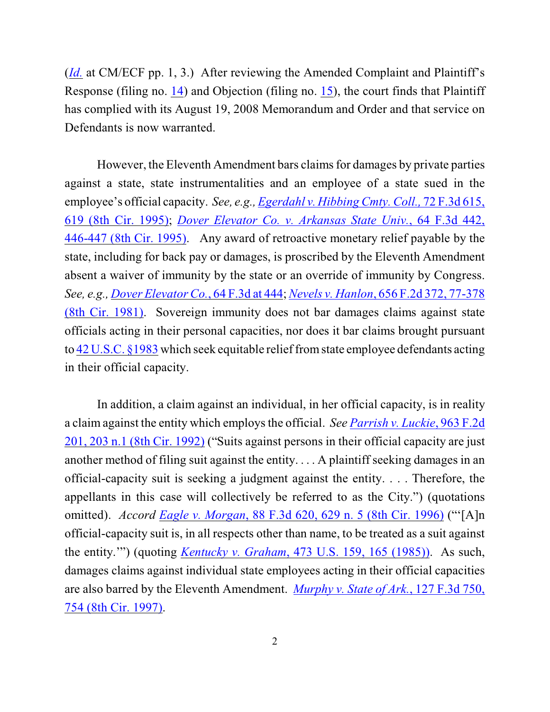(*[Id.](https://ecf.ned.uscourts.gov/doc1/11301542074)* at CM/ECF pp. 1, 3.) After reviewing the Amended Complaint and Plaintiff's Response (filing no. [14](http://ecf.ned.uscourts.gov/doc1/11301529406)) and Objection (filing no. [15](http://ecf.ned.uscourts.gov/doc1/11301529436)), the court finds that Plaintiff has complied with its August 19, 2008 Memorandum and Order and that service on Defendants is now warranted.

However, the Eleventh Amendment bars claims for damages by private parties against a state, state instrumentalities and an employee of a state sued in the employee's official capacity. *See, e.g., [Egerdahl v. Hibbing Cmty. Coll.,](http://www.westlaw.com/find/default.wl?rs=CLWP3.0&vr=2.0&cite=72+F.3d+615)* 72 F.3d 615, 619 (8th [Cir. 1995\)](http://www.westlaw.com/find/default.wl?rs=CLWP3.0&vr=2.0&cite=72+F.3d+615); *[Dover Elevator Co. v. Arkansas State Univ.](http://www.westlaw.com/find/default.wl?rs=CLWP3.0&vr=2.0&cite=64+F.3d+442)*, 64 F.3d 442, [446-447 \(8th Cir. 1995\)](http://www.westlaw.com/find/default.wl?rs=CLWP3.0&vr=2.0&cite=64+F.3d+442). Any award of retroactive monetary relief payable by the state, including for back pay or damages, is proscribed by the Eleventh Amendment absent a waiver of immunity by the state or an override of immunity by Congress. *See, e.g., [Dover Elevator Co.](http://www.westlaw.com/find/default.wl?rs=CLWP3.0&vr=2.0&cite=64+F.3d+444)*, 64 F.3d at 444; *Nevels v. Hanlon*, [656 F.2d 372, 77-378](http://www.westlaw.com/find/default.wl?rs=CLWP3.0&vr=2.0&cite=656+F.2d+372) [\(8th Cir. 1981\)](http://www.westlaw.com/find/default.wl?rs=CLWP3.0&vr=2.0&cite=656+F.2d+372). Sovereign immunity does not bar damages claims against state officials acting in their personal capacities, nor does it bar claims brought pursuant to [42 U.S.C. §1983](http://www.westlaw.com/find/default.wl?rs=CLWP3.0&vr=2.0&cite=42+USCA+s1983) which seek equitable relief fromstate employee defendants acting in their official capacity.

In addition, a claim against an individual, in her official capacity, is in reality a claim against the entity which employs the official. *See [Parrish v. Luckie](http://www.westlaw.com/find/default.wl?rs=CLWP3.0&vr=2.0&cite=963+F.2d+201)*, 963 F.2d [201, 203 n.1 \(8th Cir. 1992\)](http://www.westlaw.com/find/default.wl?rs=CLWP3.0&vr=2.0&cite=963+F.2d+201) ("Suits against persons in their official capacity are just another method of filing suit against the entity. . . . A plaintiff seeking damages in an official-capacity suit is seeking a judgment against the entity. . . . Therefore, the appellants in this case will collectively be referred to as the City.") (quotations omitted). *Accord Eagle v. Morgan*[, 88 F.3d 620, 629 n. 5 \(8th Cir. 1996\)](http://web2.westlaw.com/find/default.wl?rs=CLWP3.0&vr=2.0&cite=88+F.3d+620&ssl=n) ("'[A]n official-capacity suit is, in all respects other than name, to be treated as a suit against the entity.'") (quoting *Kentucky v. Graham*[, 473 U.S. 159, 165 \(1985\)\)](http://web2.westlaw.com/find/default.wl?tf=-1&rs=WLW8.05&referencepositiontype=S&serialnum=1985133039&fn=_top&findtype=Y&tc=-1&referenceposition=3105&db=708&vr=2.0&rp=%2ffind%2fdefault.wl&RLT=CLID_FQRLT6212136&TF=756&TC=1&n=1). As such, damages claims against individual state employees acting in their official capacities are also barred by the Eleventh Amendment. *[Murphy v. State of Ark.](http://www.westlaw.com/find/default.wl?rs=CLWP3.0&vr=2.0&cite=127+F.3d+750)*, 127 F.3d 750, [754 \(8th Cir. 1997\)](http://www.westlaw.com/find/default.wl?rs=CLWP3.0&vr=2.0&cite=127+F.3d+750).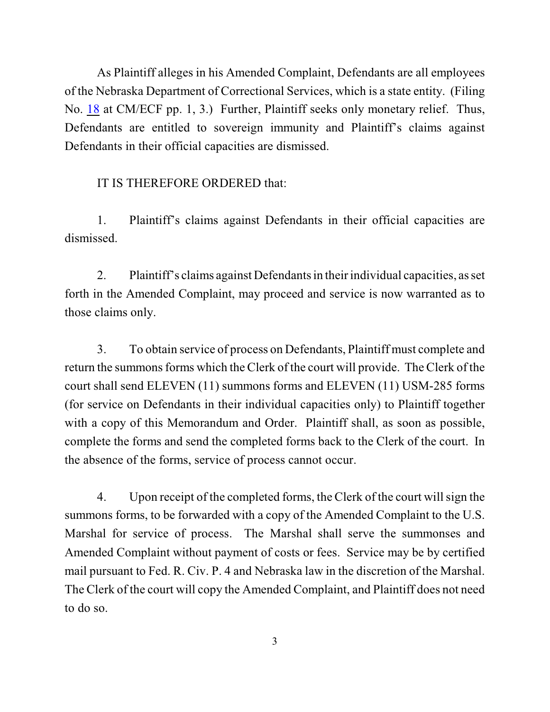As Plaintiff alleges in his Amended Complaint, Defendants are all employees of the Nebraska Department of Correctional Services, which is a state entity. (Filing No. [18](http://ecf.ned.uscourts.gov/doc1/11301542074) at CM/ECF pp. 1, 3.) Further, Plaintiff seeks only monetary relief. Thus, Defendants are entitled to sovereign immunity and Plaintiff's claims against Defendants in their official capacities are dismissed.

IT IS THEREFORE ORDERED that:

1. Plaintiff's claims against Defendants in their official capacities are dismissed.

2. Plaintiff's claims against Defendants in their individual capacities, as set forth in the Amended Complaint, may proceed and service is now warranted as to those claims only.

3. To obtain service of process on Defendants, Plaintiff must complete and return the summons forms which the Clerk of the court will provide. The Clerk of the court shall send ELEVEN (11) summons forms and ELEVEN (11) USM-285 forms (for service on Defendants in their individual capacities only) to Plaintiff together with a copy of this Memorandum and Order. Plaintiff shall, as soon as possible, complete the forms and send the completed forms back to the Clerk of the court. In the absence of the forms, service of process cannot occur.

4. Upon receipt of the completed forms, the Clerk of the court will sign the summons forms, to be forwarded with a copy of the Amended Complaint to the U.S. Marshal for service of process. The Marshal shall serve the summonses and Amended Complaint without payment of costs or fees. Service may be by certified mail pursuant to Fed. R. Civ. P. 4 and Nebraska law in the discretion of the Marshal. The Clerk of the court will copy the Amended Complaint, and Plaintiff does not need to do so.